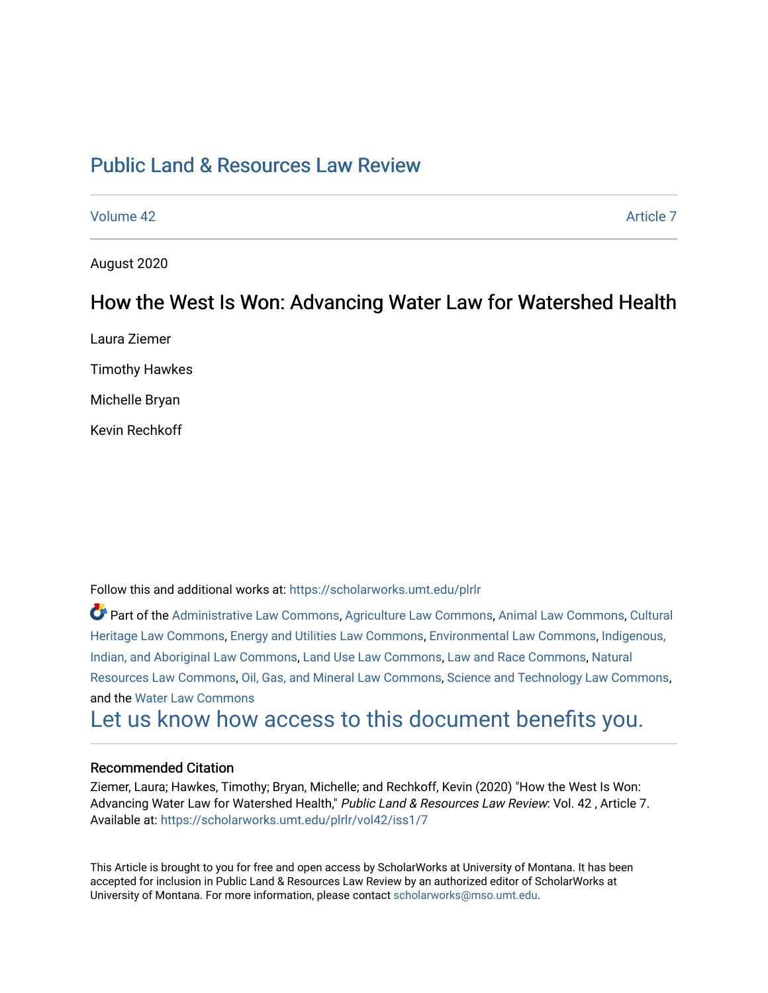# [Public Land & Resources Law Review](https://scholarworks.umt.edu/plrlr)

[Volume 42](https://scholarworks.umt.edu/plrlr/vol42) Article 7

August 2020

## How the West Is Won: Advancing Water Law for Watershed Health

Laura Ziemer

Timothy Hawkes

Michelle Bryan

Kevin Rechkoff

Follow this and additional works at: [https://scholarworks.umt.edu/plrlr](https://scholarworks.umt.edu/plrlr?utm_source=scholarworks.umt.edu%2Fplrlr%2Fvol42%2Fiss1%2F7&utm_medium=PDF&utm_campaign=PDFCoverPages) 

Part of the [Administrative Law Commons,](http://network.bepress.com/hgg/discipline/579?utm_source=scholarworks.umt.edu%2Fplrlr%2Fvol42%2Fiss1%2F7&utm_medium=PDF&utm_campaign=PDFCoverPages) [Agriculture Law Commons](http://network.bepress.com/hgg/discipline/581?utm_source=scholarworks.umt.edu%2Fplrlr%2Fvol42%2Fiss1%2F7&utm_medium=PDF&utm_campaign=PDFCoverPages), [Animal Law Commons](http://network.bepress.com/hgg/discipline/831?utm_source=scholarworks.umt.edu%2Fplrlr%2Fvol42%2Fiss1%2F7&utm_medium=PDF&utm_campaign=PDFCoverPages), [Cultural](http://network.bepress.com/hgg/discipline/1384?utm_source=scholarworks.umt.edu%2Fplrlr%2Fvol42%2Fiss1%2F7&utm_medium=PDF&utm_campaign=PDFCoverPages)  [Heritage Law Commons](http://network.bepress.com/hgg/discipline/1384?utm_source=scholarworks.umt.edu%2Fplrlr%2Fvol42%2Fiss1%2F7&utm_medium=PDF&utm_campaign=PDFCoverPages), [Energy and Utilities Law Commons,](http://network.bepress.com/hgg/discipline/891?utm_source=scholarworks.umt.edu%2Fplrlr%2Fvol42%2Fiss1%2F7&utm_medium=PDF&utm_campaign=PDFCoverPages) [Environmental Law Commons](http://network.bepress.com/hgg/discipline/599?utm_source=scholarworks.umt.edu%2Fplrlr%2Fvol42%2Fiss1%2F7&utm_medium=PDF&utm_campaign=PDFCoverPages), [Indigenous,](http://network.bepress.com/hgg/discipline/894?utm_source=scholarworks.umt.edu%2Fplrlr%2Fvol42%2Fiss1%2F7&utm_medium=PDF&utm_campaign=PDFCoverPages)  [Indian, and Aboriginal Law Commons](http://network.bepress.com/hgg/discipline/894?utm_source=scholarworks.umt.edu%2Fplrlr%2Fvol42%2Fiss1%2F7&utm_medium=PDF&utm_campaign=PDFCoverPages), [Land Use Law Commons](http://network.bepress.com/hgg/discipline/852?utm_source=scholarworks.umt.edu%2Fplrlr%2Fvol42%2Fiss1%2F7&utm_medium=PDF&utm_campaign=PDFCoverPages), [Law and Race Commons,](http://network.bepress.com/hgg/discipline/1300?utm_source=scholarworks.umt.edu%2Fplrlr%2Fvol42%2Fiss1%2F7&utm_medium=PDF&utm_campaign=PDFCoverPages) [Natural](http://network.bepress.com/hgg/discipline/863?utm_source=scholarworks.umt.edu%2Fplrlr%2Fvol42%2Fiss1%2F7&utm_medium=PDF&utm_campaign=PDFCoverPages) [Resources Law Commons](http://network.bepress.com/hgg/discipline/863?utm_source=scholarworks.umt.edu%2Fplrlr%2Fvol42%2Fiss1%2F7&utm_medium=PDF&utm_campaign=PDFCoverPages), [Oil, Gas, and Mineral Law Commons](http://network.bepress.com/hgg/discipline/864?utm_source=scholarworks.umt.edu%2Fplrlr%2Fvol42%2Fiss1%2F7&utm_medium=PDF&utm_campaign=PDFCoverPages), [Science and Technology Law Commons,](http://network.bepress.com/hgg/discipline/875?utm_source=scholarworks.umt.edu%2Fplrlr%2Fvol42%2Fiss1%2F7&utm_medium=PDF&utm_campaign=PDFCoverPages) and the [Water Law Commons](http://network.bepress.com/hgg/discipline/887?utm_source=scholarworks.umt.edu%2Fplrlr%2Fvol42%2Fiss1%2F7&utm_medium=PDF&utm_campaign=PDFCoverPages)

# [Let us know how access to this document benefits you.](https://goo.gl/forms/s2rGfXOLzz71qgsB2)

### Recommended Citation

Ziemer, Laura; Hawkes, Timothy; Bryan, Michelle; and Rechkoff, Kevin (2020) "How the West Is Won: Advancing Water Law for Watershed Health," Public Land & Resources Law Review: Vol. 42, Article 7. Available at: [https://scholarworks.umt.edu/plrlr/vol42/iss1/7](https://scholarworks.umt.edu/plrlr/vol42/iss1/7?utm_source=scholarworks.umt.edu%2Fplrlr%2Fvol42%2Fiss1%2F7&utm_medium=PDF&utm_campaign=PDFCoverPages)

This Article is brought to you for free and open access by ScholarWorks at University of Montana. It has been accepted for inclusion in Public Land & Resources Law Review by an authorized editor of ScholarWorks at University of Montana. For more information, please contact [scholarworks@mso.umt.edu.](mailto:scholarworks@mso.umt.edu)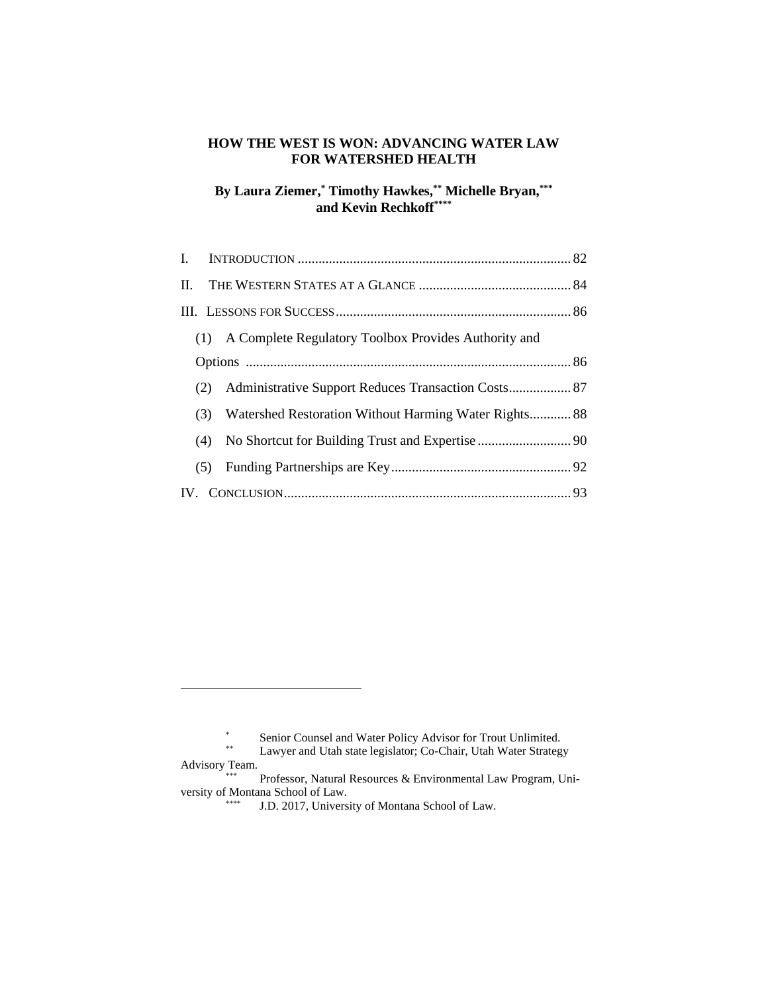#### **HOW THE WEST IS WON: ADVANCING WATER LAW FOR WATERSHED HEALTH**

### **By Laura Ziemer, \* Timothy Hawkes, \*\* Michelle Bryan, \*\*\* and Kevin Rechkoff\*\*\*\***

|  | (1) A Complete Regulatory Toolbox Provides Authority and     |  |
|--|--------------------------------------------------------------|--|
|  |                                                              |  |
|  |                                                              |  |
|  | Watershed Restoration Without Harming Water Rights 88<br>(3) |  |
|  | (4)                                                          |  |
|  | (5)                                                          |  |
|  |                                                              |  |

<sup>\*</sup> Senior Counsel and Water Policy Advisor for Trout Unlimited.

Lawyer and Utah state legislator; Co-Chair, Utah Water Strategy

Advisory Team.

Professor, Natural Resources & Environmental Law Program, University of Montana School of Law.

J.D. 2017, University of Montana School of Law.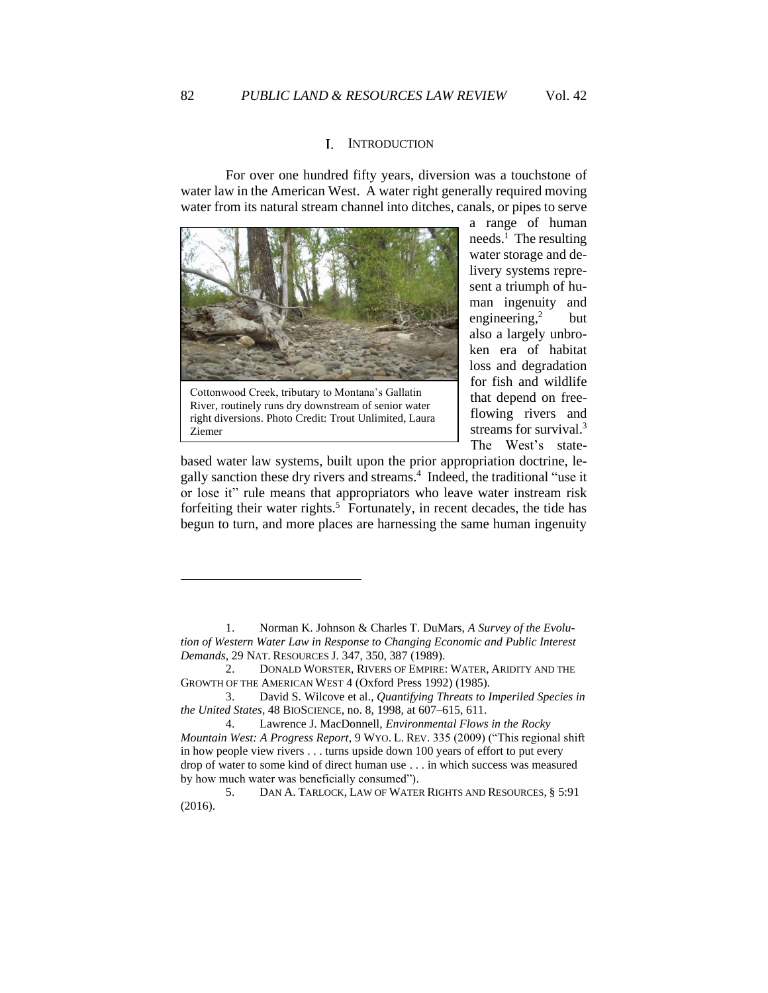### <span id="page-2-0"></span>I. INTRODUCTION

For over one hundred fifty years, diversion was a touchstone of water law in the American West. A water right generally required moving water from its natural stream channel into ditches, canals, or pipes to serve



Cottonwood Creek, tributary to Montana's Gallatin River, routinely runs dry downstream of senior water right diversions. Photo Credit: Trout Unlimited, Laura Ziemer

a range of human needs.<sup>1</sup> The resulting water storage and delivery systems represent a triumph of human ingenuity and engineering,<sup>2</sup> **but** also a largely unbroken era of habitat loss and degradation for fish and wildlife that depend on freeflowing rivers and streams for survival.<sup>3</sup> The West's state-

based water law systems, built upon the prior appropriation doctrine, legally sanction these dry rivers and streams.<sup>4</sup> Indeed, the traditional "use it or lose it" rule means that appropriators who leave water instream risk forfeiting their water rights. 5 Fortunately, in recent decades, the tide has begun to turn, and more places are harnessing the same human ingenuity

<sup>1.</sup> Norman K. Johnson & Charles T. DuMars, *A Survey of the Evolution of Western Water Law in Response to Changing Economic and Public Interest Demands*, 29 NAT. RESOURCES J. 347, 350, 387 (1989).

<sup>2.</sup> DONALD WORSTER, RIVERS OF EMPIRE: WATER, ARIDITY AND THE GROWTH OF THE AMERICAN WEST 4 (Oxford Press 1992) (1985).

<sup>3.</sup> David S. Wilcove et al., *Quantifying Threats to Imperiled Species in the United States*, 48 BIOSCIENCE, no. 8, 1998, at 607–615, 611.

<sup>4.</sup> Lawrence J. MacDonnell, *Environmental Flows in the Rocky Mountain West: A Progress Report*, 9 WYO. L. REV. 335 (2009) ("This regional shift in how people view rivers . . . turns upside down 100 years of effort to put every drop of water to some kind of direct human use . . . in which success was measured by how much water was beneficially consumed").

<sup>5.</sup> DAN A. TARLOCK, LAW OF WATER RIGHTS AND RESOURCES, § 5:91 (2016).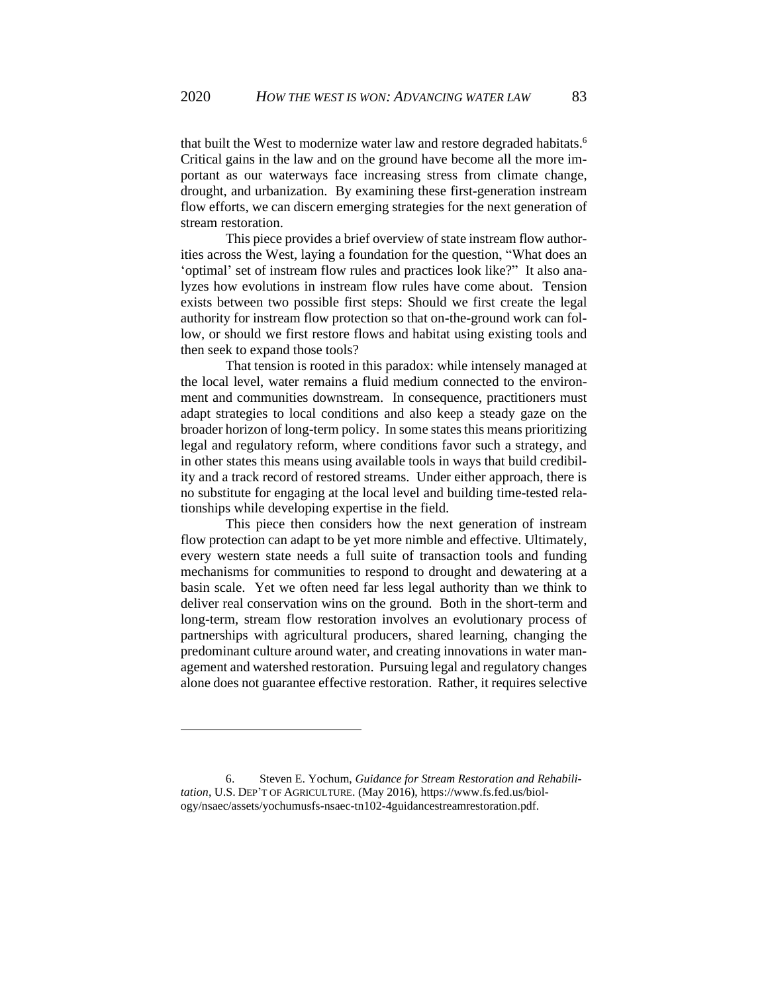that built the West to modernize water law and restore degraded habitats.<sup>6</sup> Critical gains in the law and on the ground have become all the more important as our waterways face increasing stress from climate change, drought, and urbanization. By examining these first-generation instream flow efforts, we can discern emerging strategies for the next generation of stream restoration.

This piece provides a brief overview of state instream flow authorities across the West, laying a foundation for the question, "What does an 'optimal' set of instream flow rules and practices look like?" It also analyzes how evolutions in instream flow rules have come about. Tension exists between two possible first steps: Should we first create the legal authority for instream flow protection so that on-the-ground work can follow, or should we first restore flows and habitat using existing tools and then seek to expand those tools?

That tension is rooted in this paradox: while intensely managed at the local level, water remains a fluid medium connected to the environment and communities downstream. In consequence, practitioners must adapt strategies to local conditions and also keep a steady gaze on the broader horizon of long-term policy. In some states this means prioritizing legal and regulatory reform, where conditions favor such a strategy, and in other states this means using available tools in ways that build credibility and a track record of restored streams. Under either approach, there is no substitute for engaging at the local level and building time-tested relationships while developing expertise in the field.

This piece then considers how the next generation of instream flow protection can adapt to be yet more nimble and effective. Ultimately, every western state needs a full suite of transaction tools and funding mechanisms for communities to respond to drought and dewatering at a basin scale. Yet we often need far less legal authority than we think to deliver real conservation wins on the ground. Both in the short-term and long-term, stream flow restoration involves an evolutionary process of partnerships with agricultural producers, shared learning, changing the predominant culture around water, and creating innovations in water management and watershed restoration. Pursuing legal and regulatory changes alone does not guarantee effective restoration. Rather, it requires selective

6. Steven E. Yochum, *Guidance for Stream Restoration and Rehabilitation*, U.S. DEP'T OF AGRICULTURE. (May 2016), https://www.fs.fed.us/biology/nsaec/assets/yochumusfs-nsaec-tn102-4guidancestreamrestoration.pdf.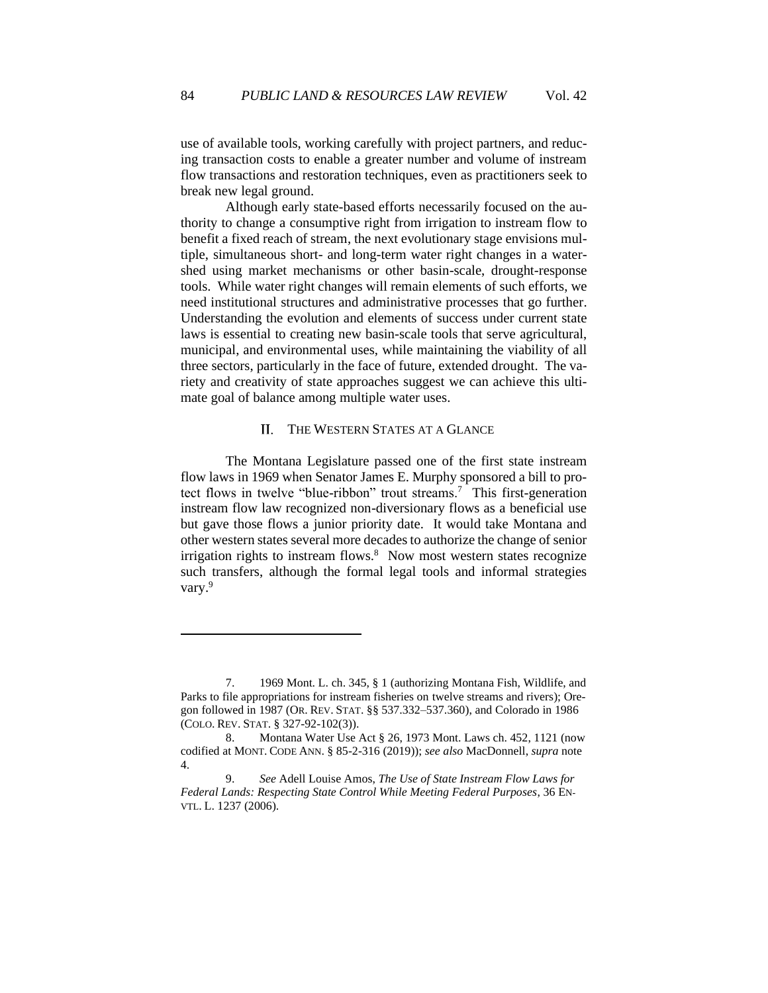use of available tools, working carefully with project partners, and reducing transaction costs to enable a greater number and volume of instream flow transactions and restoration techniques, even as practitioners seek to break new legal ground.

Although early state-based efforts necessarily focused on the authority to change a consumptive right from irrigation to instream flow to benefit a fixed reach of stream, the next evolutionary stage envisions multiple, simultaneous short- and long-term water right changes in a watershed using market mechanisms or other basin-scale, drought-response tools. While water right changes will remain elements of such efforts, we need institutional structures and administrative processes that go further. Understanding the evolution and elements of success under current state laws is essential to creating new basin-scale tools that serve agricultural, municipal, and environmental uses, while maintaining the viability of all three sectors, particularly in the face of future, extended drought. The variety and creativity of state approaches suggest we can achieve this ultimate goal of balance among multiple water uses.

#### <span id="page-4-0"></span>II. THE WESTERN STATES AT A GLANCE

The Montana Legislature passed one of the first state instream flow laws in 1969 when Senator James E. Murphy sponsored a bill to protect flows in twelve "blue-ribbon" trout streams.<sup>7</sup> This first-generation instream flow law recognized non-diversionary flows as a beneficial use but gave those flows a junior priority date. It would take Montana and other western states several more decades to authorize the change of senior irrigation rights to instream flows.<sup>8</sup> Now most western states recognize such transfers, although the formal legal tools and informal strategies vary.<sup>9</sup>

<sup>7.</sup> 1969 Mont. L. ch. 345, § 1 (authorizing Montana Fish, Wildlife, and Parks to file appropriations for instream fisheries on twelve streams and rivers); Oregon followed in 1987 (OR. REV. STAT. §§ 537.332–537.360), and Colorado in 1986 (COLO. REV. STAT. § 327-92-102(3)).

<sup>8.</sup> Montana Water Use Act § 26, 1973 Mont. Laws ch. 452, 1121 (now codified at MONT. CODE ANN. § 85-2-316 (2019)); *see also* MacDonnell, *supra* note 4.

<sup>9.</sup> *See* Adell Louise Amos, *The Use of State Instream Flow Laws for Federal Lands: Respecting State Control While Meeting Federal Purposes*, 36 EN-VTL. L. 1237 (2006).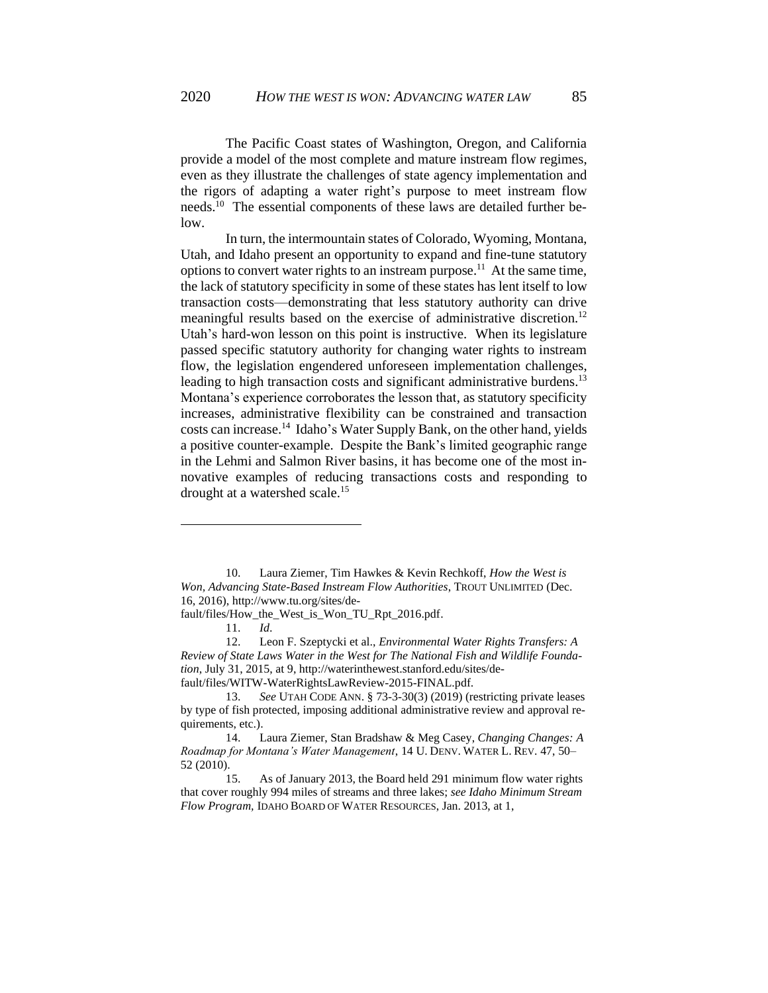The Pacific Coast states of Washington, Oregon, and California provide a model of the most complete and mature instream flow regimes, even as they illustrate the challenges of state agency implementation and the rigors of adapting a water right's purpose to meet instream flow needs. <sup>10</sup> The essential components of these laws are detailed further below.

In turn, the intermountain states of Colorado, Wyoming, Montana, Utah, and Idaho present an opportunity to expand and fine-tune statutory options to convert water rights to an instream purpose.<sup>11</sup> At the same time, the lack of statutory specificity in some of these states has lent itself to low transaction costs—demonstrating that less statutory authority can drive meaningful results based on the exercise of administrative discretion.<sup>12</sup> Utah's hard-won lesson on this point is instructive. When its legislature passed specific statutory authority for changing water rights to instream flow, the legislation engendered unforeseen implementation challenges, leading to high transaction costs and significant administrative burdens.<sup>13</sup> Montana's experience corroborates the lesson that, as statutory specificity increases, administrative flexibility can be constrained and transaction costs can increase.<sup>14</sup> Idaho's Water Supply Bank, on the other hand, yields a positive counter-example. Despite the Bank's limited geographic range in the Lehmi and Salmon River basins, it has become one of the most innovative examples of reducing transactions costs and responding to drought at a watershed scale.<sup>15</sup>

<sup>10.</sup> Laura Ziemer, Tim Hawkes & Kevin Rechkoff, *How the West is Won, Advancing State-Based Instream Flow Authorities*, TROUT UNLIMITED (Dec. 16, 2016), http://www.tu.org/sites/de-

fault/files/How\_the\_West\_is\_Won\_TU\_Rpt\_2016.pdf.

<sup>11.</sup> *Id*.

<sup>12.</sup> Leon F. Szeptycki et al., *Environmental Water Rights Transfers: A Review of State Laws Water in the West for The National Fish and Wildlife Foundation*, July 31, 2015, at 9, http://waterinthewest.stanford.edu/sites/default/files/WITW-WaterRightsLawReview-2015-FINAL.pdf.

<sup>13.</sup> *See* UTAH CODE ANN. § 73-3-30(3) (2019) (restricting private leases by type of fish protected, imposing additional administrative review and approval requirements, etc.).

<sup>14.</sup> Laura Ziemer, Stan Bradshaw & Meg Casey, *Changing Changes: A Roadmap for Montana's Water Management*, 14 U. DENV. WATER L. REV. 47, 50– 52 (2010).

<sup>15.</sup> As of January 2013, the Board held 291 minimum flow water rights that cover roughly 994 miles of streams and three lakes; *see Idaho Minimum Stream Flow Program,* IDAHO BOARD OF WATER RESOURCES, Jan. 2013, at 1,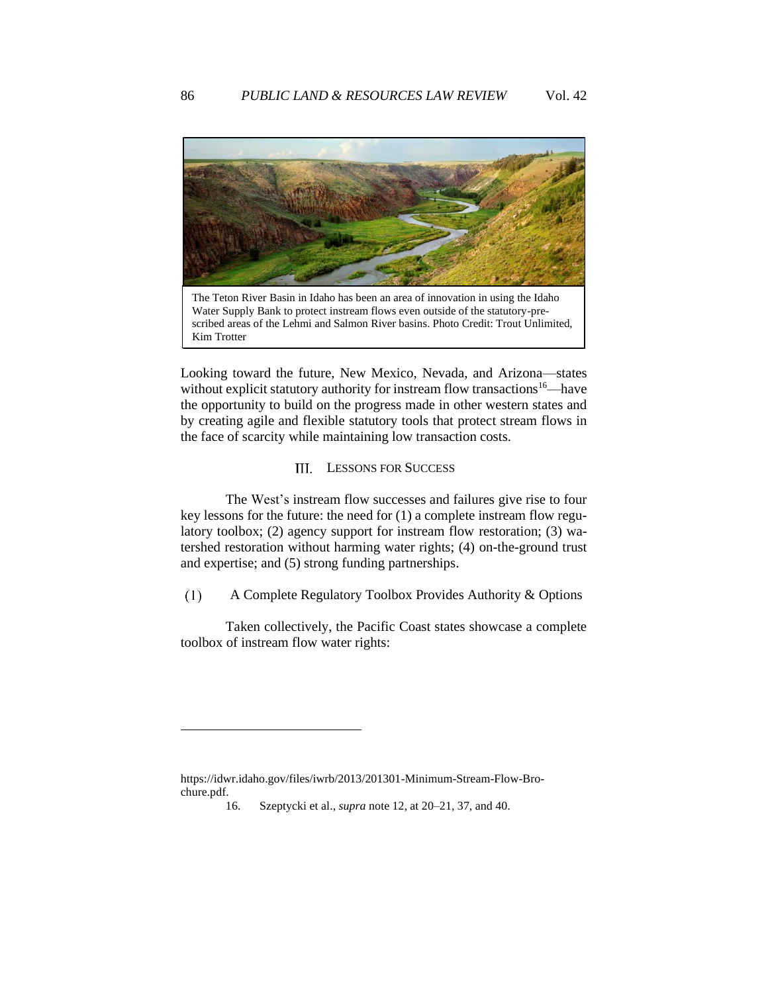

Water Supply Bank to protect instream flows even outside of the statutory-prescribed areas of the Lehmi and Salmon River basins. Photo Credit: Trout Unlimited, Kim Trotter

Looking toward the future, New Mexico, Nevada, and Arizona—states without explicit statutory authority for instream flow transactions<sup>16—have</sup> the opportunity to build on the progress made in other western states and by creating agile and flexible statutory tools that protect stream flows in the face of scarcity while maintaining low transaction costs.

### <span id="page-6-0"></span>III. LESSONS FOR SUCCESS

The West's instream flow successes and failures give rise to four key lessons for the future: the need for (1) a complete instream flow regulatory toolbox; (2) agency support for instream flow restoration; (3) watershed restoration without harming water rights; (4) on-the-ground trust and expertise; and (5) strong funding partnerships.

<span id="page-6-1"></span> $(1)$ A Complete Regulatory Toolbox Provides Authority & Options

Taken collectively, the Pacific Coast states showcase a complete toolbox of instream flow water rights:

https://idwr.idaho.gov/files/iwrb/2013/201301-Minimum-Stream-Flow-Brochure.pdf.

<sup>16.</sup> Szeptycki et al., *supra* note 12, at 20–21, 37, and 40.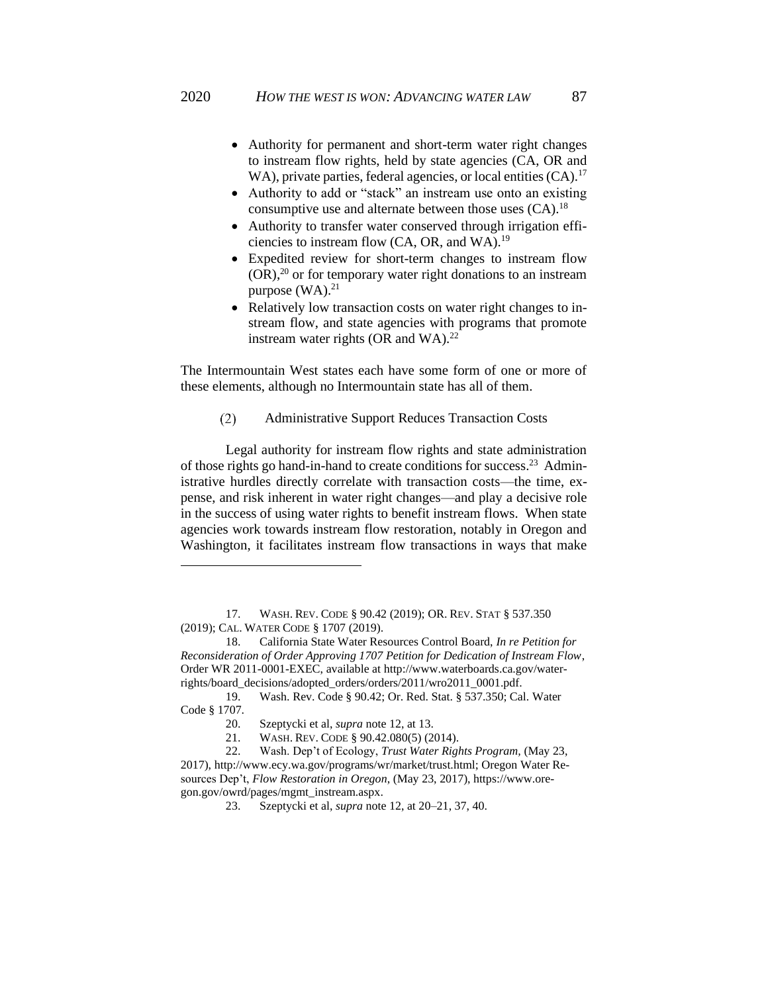- Authority for permanent and short-term water right changes to instream flow rights, held by state agencies (CA, OR and WA), private parties, federal agencies, or local entities (CA).<sup>17</sup>
- Authority to add or "stack" an instream use onto an existing consumptive use and alternate between those uses  $(CA)$ .<sup>18</sup>
- Authority to transfer water conserved through irrigation efficiencies to instream flow (CA, OR, and WA).<sup>19</sup>
- Expedited review for short-term changes to instream flow  $(OR)$ ,<sup>20</sup> or for temporary water right donations to an instream purpose  $(WA)$ .<sup>21</sup>
- Relatively low transaction costs on water right changes to instream flow, and state agencies with programs that promote instream water rights (OR and WA). $^{22}$

The Intermountain West states each have some form of one or more of these elements, although no Intermountain state has all of them.

 $(2)$ Administrative Support Reduces Transaction Costs

<span id="page-7-0"></span>Legal authority for instream flow rights and state administration of those rights go hand-in-hand to create conditions for success.<sup>23</sup> Administrative hurdles directly correlate with transaction costs—the time, expense, and risk inherent in water right changes—and play a decisive role in the success of using water rights to benefit instream flows. When state agencies work towards instream flow restoration, notably in Oregon and Washington, it facilitates instream flow transactions in ways that make

<sup>17.</sup> WASH. REV. CODE § 90.42 (2019); OR. REV. STAT § 537.350 (2019); CAL. WATER CODE § 1707 (2019).

<sup>18.</sup> California State Water Resources Control Board, *In re Petition for Reconsideration of Order Approving 1707 Petition for Dedication of Instream Flow*, Order WR 2011-0001-EXEC, available at http://www.waterboards.ca.gov/waterrights/board\_decisions/adopted\_orders/orders/2011/wro2011\_0001.pdf.

<sup>19.</sup> Wash. Rev. Code § 90.42; Or. Red. Stat. § 537.350; Cal. Water Code § 1707.

<sup>20.</sup> Szeptycki et al, *supra* note 12, at 13.

<sup>21.</sup> WASH. REV. CODE § 90.42.080(5) (2014).

<sup>22.</sup> Wash. Dep't of Ecology, *Trust Water Rights Program,* (May 23, 2017), http://www.ecy.wa.gov/programs/wr/market/trust.html; Oregon Water Resources Dep't, *Flow Restoration in Oregon*, (May 23, 2017), https://www.oregon.gov/owrd/pages/mgmt\_instream.aspx.

<sup>23.</sup> Szeptycki et al, *supra* note 12, at 20–21, 37, 40.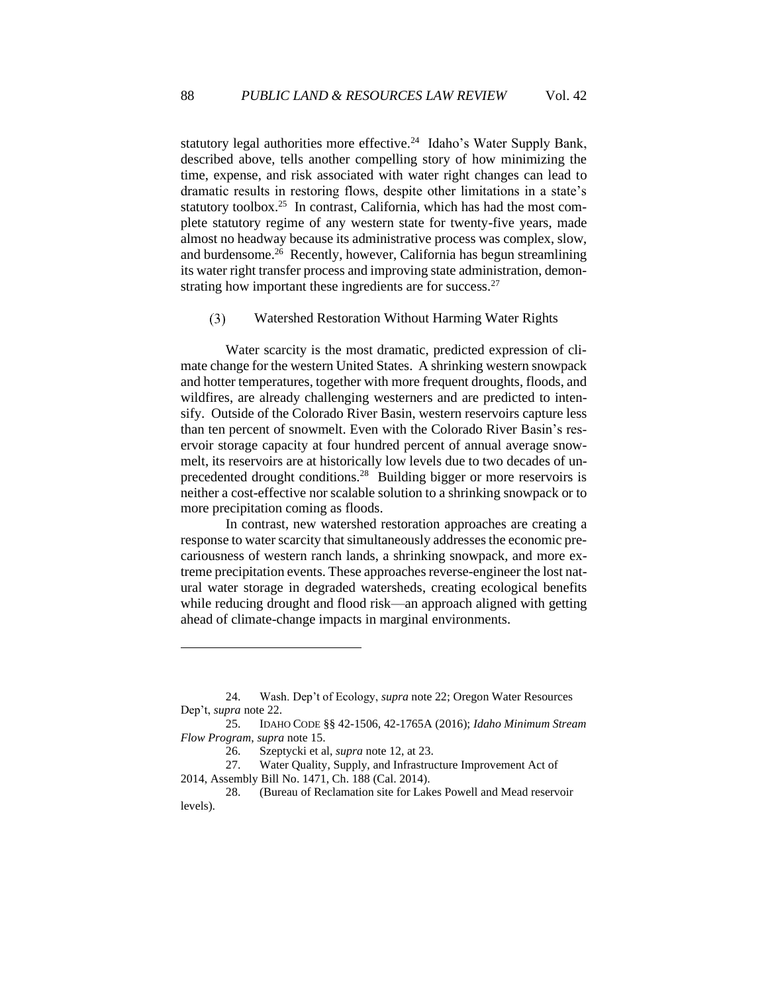statutory legal authorities more effective.<sup>24</sup> Idaho's Water Supply Bank, described above, tells another compelling story of how minimizing the time, expense, and risk associated with water right changes can lead to dramatic results in restoring flows, despite other limitations in a state's statutory toolbox.<sup>25</sup> In contrast, California, which has had the most complete statutory regime of any western state for twenty-five years, made almost no headway because its administrative process was complex, slow, and burdensome.<sup>26</sup> Recently, however, California has begun streamlining its water right transfer process and improving state administration, demonstrating how important these ingredients are for success. $27$ 

<span id="page-8-0"></span> $(3)$ Watershed Restoration Without Harming Water Rights

Water scarcity is the most dramatic, predicted expression of climate change for the western United States. A shrinking western snowpack and hotter temperatures, together with more frequent droughts, floods, and wildfires, are already challenging westerners and are predicted to intensify. Outside of the Colorado River Basin, western reservoirs capture less than ten percent of snowmelt. Even with the Colorado River Basin's reservoir storage capacity at four hundred percent of annual average snowmelt, its reservoirs are at historically low levels due to two decades of unprecedented drought conditions.<sup>28</sup> Building bigger or more reservoirs is neither a cost-effective nor scalable solution to a shrinking snowpack or to more precipitation coming as floods.

In contrast, new watershed restoration approaches are creating a response to water scarcity that simultaneously addresses the economic precariousness of western ranch lands, a shrinking snowpack, and more extreme precipitation events. These approaches reverse-engineer the lost natural water storage in degraded watersheds, creating ecological benefits while reducing drought and flood risk—an approach aligned with getting ahead of climate-change impacts in marginal environments.

<sup>24.</sup> Wash. Dep't of Ecology, *supra* note 22; Oregon Water Resources Dep't, *supra* note 22.

<sup>25.</sup> IDAHO CODE §§ 42-1506, 42-1765A (2016); *Idaho Minimum Stream Flow Program*, *supra* note 15.

<sup>26.</sup> Szeptycki et al, *supra* note 12, at 23.

<sup>27.</sup> Water Quality, Supply, and Infrastructure Improvement Act of 2014, Assembly Bill No. 1471, Ch. 188 (Cal. 2014).

<sup>28.</sup> (Bureau of Reclamation site for Lakes Powell and Mead reservoir levels).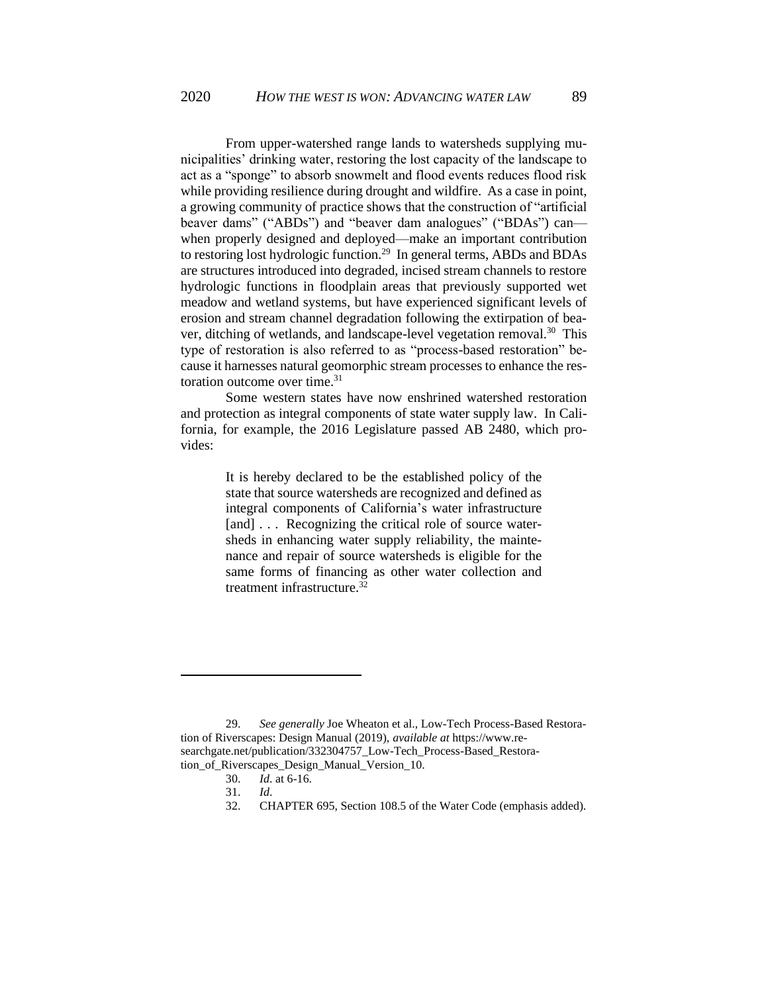From upper-watershed range lands to watersheds supplying municipalities' drinking water, restoring the lost capacity of the landscape to act as a "sponge" to absorb snowmelt and flood events reduces flood risk while providing resilience during drought and wildfire. As a case in point, a growing community of practice shows that the construction of "artificial beaver dams" ("ABDs") and "beaver dam analogues" ("BDAs") can when properly designed and deployed—make an important contribution to restoring lost hydrologic function.<sup>29</sup> In general terms, ABDs and BDAs are structures introduced into degraded, incised stream channels to restore hydrologic functions in floodplain areas that previously supported wet meadow and wetland systems, but have experienced significant levels of erosion and stream channel degradation following the extirpation of beaver, ditching of wetlands, and landscape-level vegetation removal.<sup>30</sup> This type of restoration is also referred to as "process-based restoration" because it harnesses natural geomorphic stream processes to enhance the restoration outcome over time.<sup>31</sup>

Some western states have now enshrined watershed restoration and protection as integral components of state water supply law. In California, for example, the 2016 Legislature passed AB 2480, which provides:

> It is hereby declared to be the established policy of the state that source watersheds are recognized and defined as integral components of California's water infrastructure [and] ... Recognizing the critical role of source watersheds in enhancing water supply reliability, the maintenance and repair of source watersheds is eligible for the same forms of financing as other water collection and treatment infrastructure.<sup>32</sup>

<sup>29.</sup> *See generally* Joe Wheaton et al., Low-Tech Process-Based Restoration of Riverscapes: Design Manual (2019), *available at* https://www.researchgate.net/publication/332304757\_Low-Tech\_Process-Based\_Restoration\_of\_Riverscapes\_Design\_Manual\_Version\_10.

<sup>30.</sup> *Id*. at 6-16.

<sup>31.</sup> *Id*.

<sup>32.</sup> CHAPTER 695, Section 108.5 of the Water Code (emphasis added).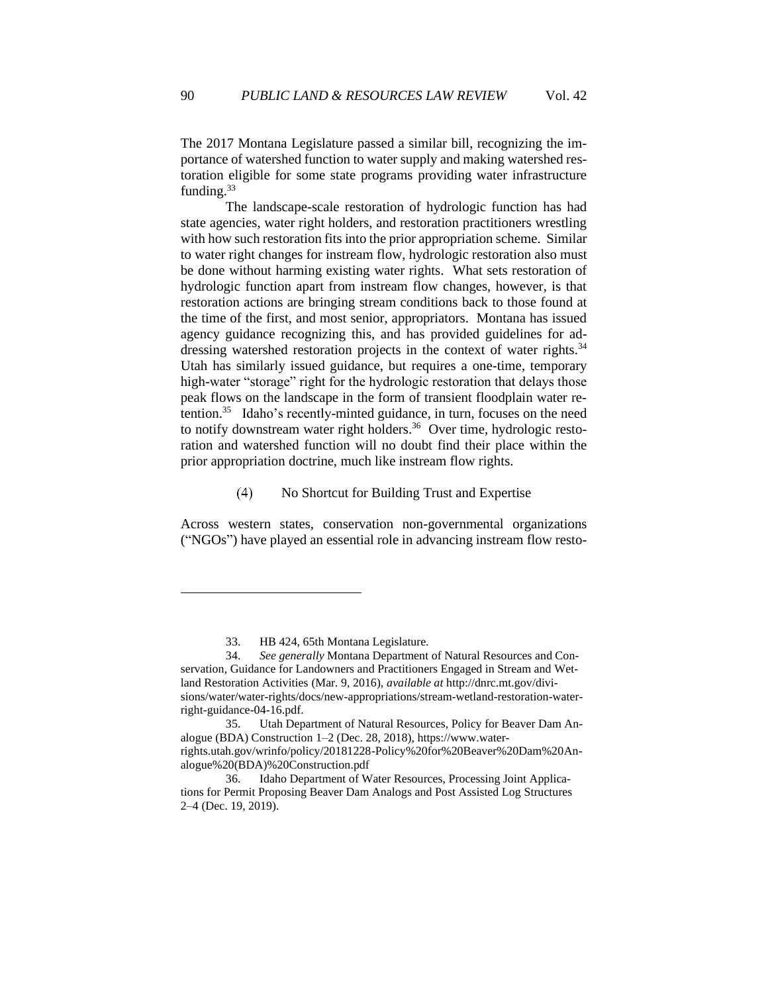The 2017 Montana Legislature passed a similar bill, recognizing the importance of watershed function to water supply and making watershed restoration eligible for some state programs providing water infrastructure funding.<sup>33</sup>

The landscape-scale restoration of hydrologic function has had state agencies, water right holders, and restoration practitioners wrestling with how such restoration fits into the prior appropriation scheme. Similar to water right changes for instream flow, hydrologic restoration also must be done without harming existing water rights. What sets restoration of hydrologic function apart from instream flow changes, however, is that restoration actions are bringing stream conditions back to those found at the time of the first, and most senior, appropriators. Montana has issued agency guidance recognizing this, and has provided guidelines for addressing watershed restoration projects in the context of water rights.<sup>34</sup> Utah has similarly issued guidance, but requires a one-time, temporary high-water "storage" right for the hydrologic restoration that delays those peak flows on the landscape in the form of transient floodplain water retention.<sup>35</sup> Idaho's recently-minted guidance, in turn, focuses on the need to notify downstream water right holders.<sup>36</sup> Over time, hydrologic restoration and watershed function will no doubt find their place within the prior appropriation doctrine, much like instream flow rights.

#### No Shortcut for Building Trust and Expertise  $(4)$

<span id="page-10-0"></span>Across western states, conservation non-governmental organizations ("NGOs") have played an essential role in advancing instream flow resto-

<sup>33.</sup> HB 424, 65th Montana Legislature.

<sup>34.</sup> *See generally* Montana Department of Natural Resources and Conservation, Guidance for Landowners and Practitioners Engaged in Stream and Wetland Restoration Activities (Mar. 9, 2016), *available at* http://dnrc.mt.gov/divisions/water/water-rights/docs/new-appropriations/stream-wetland-restoration-waterright-guidance-04-16.pdf.

<sup>35.</sup> Utah Department of Natural Resources, Policy for Beaver Dam Analogue (BDA) Construction 1–2 (Dec. 28, 2018), https://www.waterrights.utah.gov/wrinfo/policy/20181228-Policy%20for%20Beaver%20Dam%20Analogue%20(BDA)%20Construction.pdf

<sup>36.</sup> Idaho Department of Water Resources, Processing Joint Applications for Permit Proposing Beaver Dam Analogs and Post Assisted Log Structures 2–4 (Dec. 19, 2019).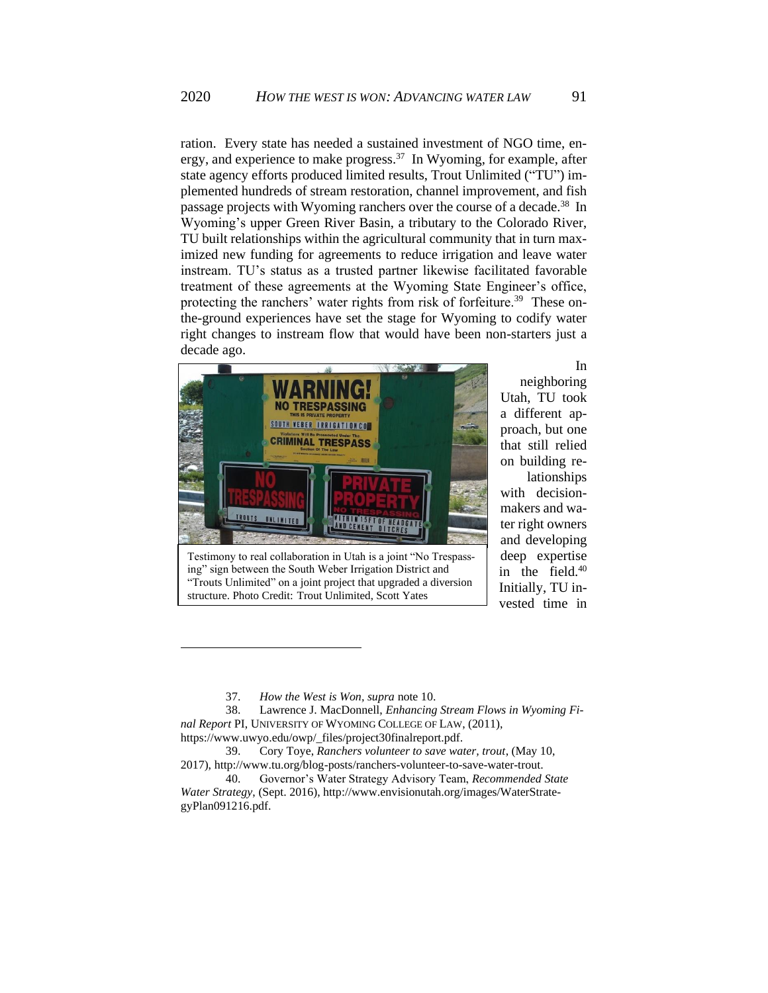ration. Every state has needed a sustained investment of NGO time, energy, and experience to make progress.<sup>37</sup> In Wyoming, for example, after state agency efforts produced limited results, Trout Unlimited ("TU") implemented hundreds of stream restoration, channel improvement, and fish passage projects with Wyoming ranchers over the course of a decade.<sup>38</sup> In Wyoming's upper Green River Basin, a tributary to the Colorado River, TU built relationships within the agricultural community that in turn maximized new funding for agreements to reduce irrigation and leave water instream. TU's status as a trusted partner likewise facilitated favorable treatment of these agreements at the Wyoming State Engineer's office, protecting the ranchers' water rights from risk of forfeiture.<sup>39</sup> These onthe-ground experiences have set the stage for Wyoming to codify water right changes to instream flow that would have been non-starters just a decade ago.



Testimony to real collaboration in Utah is a joint "No Trespassing" sign between the South Weber Irrigation District and "Trouts Unlimited" on a joint project that upgraded a diversion structure. Photo Credit: Trout Unlimited, Scott Yates

In neighboring Utah, TU took a different approach, but one that still relied on building re-

lationships with decisionmakers and water right owners and developing deep expertise in the field.<sup>40</sup> Initially, TU invested time in

<sup>37.</sup> *How the West is Won, supra* note 10.

<sup>38.</sup> Lawrence J. MacDonnell, *Enhancing Stream Flows in Wyoming Final Report* PI, UNIVERSITY OF WYOMING COLLEGE OF LAW, (2011), https://www.uwyo.edu/owp/\_files/project30finalreport.pdf.

<sup>39.</sup> Cory Toye, *Ranchers volunteer to save water, trout*, (May 10, 2017), http://www.tu.org/blog-posts/ranchers-volunteer-to-save-water-trout.

<sup>40.</sup> Governor's Water Strategy Advisory Team, *Recommended State Water Strategy*, (Sept. 2016), http://www.envisionutah.org/images/WaterStrategyPlan091216.pdf.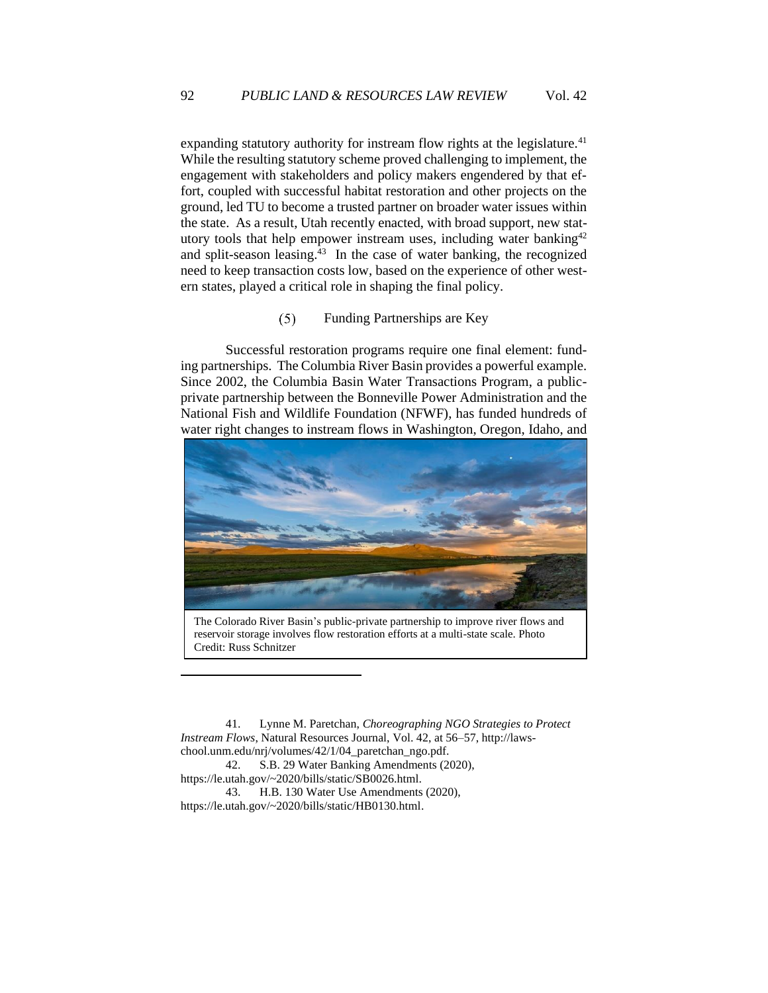expanding statutory authority for instream flow rights at the legislature.<sup>41</sup> While the resulting statutory scheme proved challenging to implement, the engagement with stakeholders and policy makers engendered by that effort, coupled with successful habitat restoration and other projects on the ground, led TU to become a trusted partner on broader water issues within the state. As a result, Utah recently enacted, with broad support, new statutory tools that help empower instream uses, including water banking<sup>42</sup> and split-season leasing.<sup>43</sup> In the case of water banking, the recognized need to keep transaction costs low, based on the experience of other western states, played a critical role in shaping the final policy.

#### $(5)$ Funding Partnerships are Key

<span id="page-12-0"></span>Successful restoration programs require one final element: funding partnerships. The Columbia River Basin provides a powerful example. Since 2002, the Columbia Basin Water Transactions Program, a publicprivate partnership between the Bonneville Power Administration and the National Fish and Wildlife Foundation (NFWF), has funded hundreds of water right changes to instream flows in Washington, Oregon, Idaho, and



The Colorado River Basin's public-private partnership to improve river flows and reservoir storage involves flow restoration efforts at a multi-state scale. Photo Credit: Russ Schnitzer

41. Lynne M. Paretchan, *Choreographing NGO Strategies to Protect Instream Flows*, Natural Resources Journal, Vol. 42, at 56–57, http://lawschool.unm.edu/nrj/volumes/42/1/04\_paretchan\_ngo.pdf.

42. S.B. 29 Water Banking Amendments (2020), https://le.utah.gov/~2020/bills/static/SB0026.html.

43. H.B. 130 Water Use Amendments (2020), https://le.utah.gov/~2020/bills/static/HB0130.html.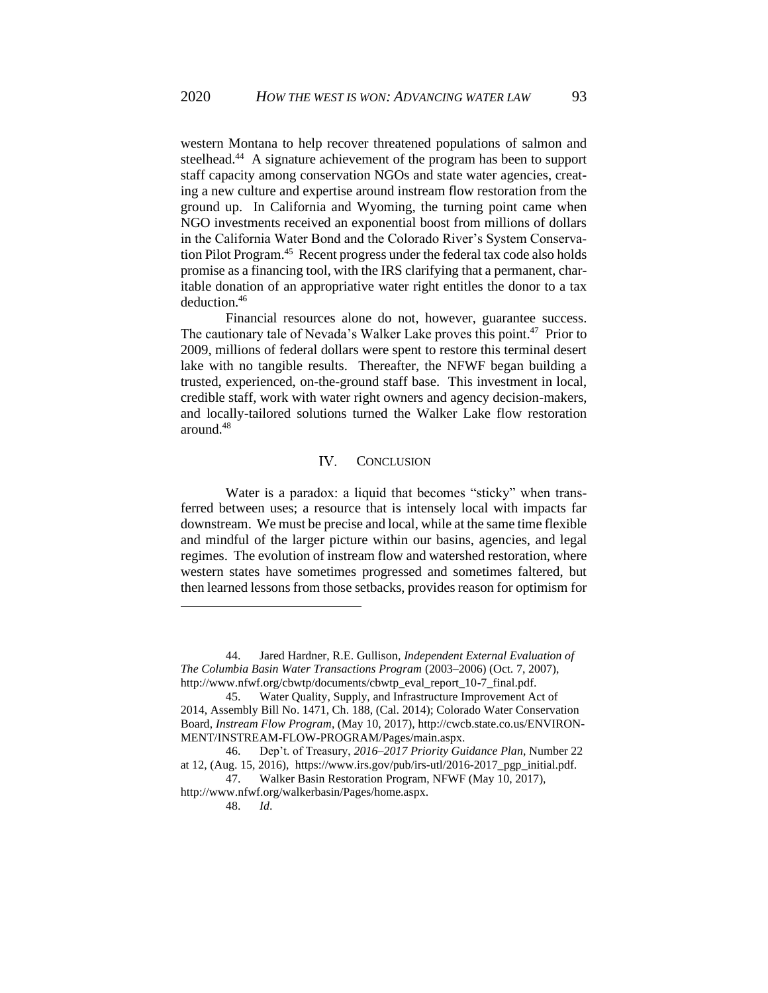western Montana to help recover threatened populations of salmon and steelhead.<sup>44</sup> A signature achievement of the program has been to support staff capacity among conservation NGOs and state water agencies, creating a new culture and expertise around instream flow restoration from the ground up. In California and Wyoming, the turning point came when NGO investments received an exponential boost from millions of dollars in the California Water Bond and the Colorado River's System Conservation Pilot Program.<sup>45</sup> Recent progress under the federal tax code also holds promise as a financing tool, with the IRS clarifying that a permanent, charitable donation of an appropriative water right entitles the donor to a tax deduction.<sup>46</sup>

Financial resources alone do not, however, guarantee success. The cautionary tale of Nevada's Walker Lake proves this point.<sup>47</sup> Prior to 2009, millions of federal dollars were spent to restore this terminal desert lake with no tangible results. Thereafter, the NFWF began building a trusted, experienced, on-the-ground staff base. This investment in local, credible staff, work with water right owners and agency decision-makers, and locally-tailored solutions turned the Walker Lake flow restoration around.<sup>48</sup>

#### <span id="page-13-0"></span>**IV.** CONCLUSION

Water is a paradox: a liquid that becomes "sticky" when transferred between uses; a resource that is intensely local with impacts far downstream. We must be precise and local, while at the same time flexible and mindful of the larger picture within our basins, agencies, and legal regimes. The evolution of instream flow and watershed restoration, where western states have sometimes progressed and sometimes faltered, but then learned lessons from those setbacks, provides reason for optimism for

<sup>44.</sup> Jared Hardner, R.E. Gullison*, Independent External Evaluation of The Columbia Basin Water Transactions Program* (2003–2006) (Oct. 7, 2007), http://www.nfwf.org/cbwtp/documents/cbwtp\_eval\_report\_10-7\_final.pdf.

<sup>45.</sup> Water Quality, Supply, and Infrastructure Improvement Act of 2014, Assembly Bill No. 1471, Ch. 188, (Cal. 2014); Colorado Water Conservation Board, *Instream Flow Program*, (May 10, 2017), http://cwcb.state.co.us/ENVIRON-MENT/INSTREAM-FLOW-PROGRAM/Pages/main.aspx.

<sup>46.</sup> Dep't. of Treasury, *2016–2017 Priority Guidance Plan*, Number 22 at 12, (Aug. 15, 2016), https://www.irs.gov/pub/irs-utl/2016-2017\_pgp\_initial.pdf.

<sup>47.</sup> Walker Basin Restoration Program, NFWF (May 10, 2017), http://www.nfwf.org/walkerbasin/Pages/home.aspx.

<sup>48.</sup> *Id*.